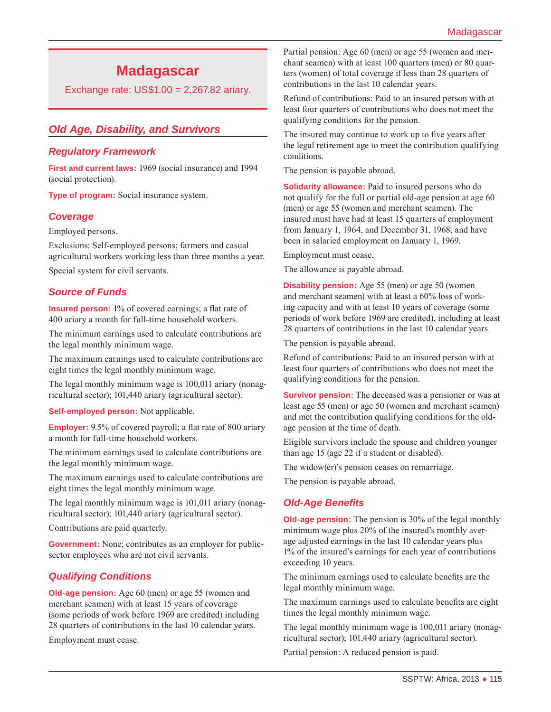# **Madagascar**

Exchange rate: US\$1.00 = 2,267.82 ariary.

# *Old Age, Disability, and Survivors*

### *Regulatory Framework*

**First and current laws:** 1969 (social insurance) and 1994 (social protection).

**Type of program:** Social insurance system.

### *Coverage*

Employed persons.

Exclusions: Self-employed persons; farmers and casual agricultural workers working less than three months a year.

Special system for civil servants.

### *Source of Funds*

**Insured person:** 1% of covered earnings; a flat rate of 400 ariary a month for full-time household workers.

The minimum earnings used to calculate contributions are the legal monthly minimum wage.

The maximum earnings used to calculate contributions are eight times the legal monthly minimum wage.

The legal monthly minimum wage is 100,011 ariary (nonagricultural sector); 101,440 ariary (agricultural sector).

**Self-employed person:** Not applicable.

**Employer:** 9.5% of covered payroll; a flat rate of 800 ariary a month for full-time household workers.

The minimum earnings used to calculate contributions are the legal monthly minimum wage.

The maximum earnings used to calculate contributions are eight times the legal monthly minimum wage.

The legal monthly minimum wage is 101,011 ariary (nonagricultural sector); 101,440 ariary (agricultural sector).

Contributions are paid quarterly.

**Government:** None; contributes as an employer for publicsector employees who are not civil servants.

# *Qualifying Conditions*

**Old-age pension:** Age 60 (men) or age 55 (women and merchant seamen) with at least 15 years of coverage (some periods of work before 1969 are credited) including 28 quarters of contributions in the last 10 calendar years.

Employment must cease.

Partial pension: Age 60 (men) or age 55 (women and merchant seamen) with at least 100 quarters (men) or 80 quarters (women) of total coverage if less than 28 quarters of contributions in the last 10 calendar years.

Refund of contributions: Paid to an insured person with at least four quarters of contributions who does not meet the qualifying conditions for the pension.

The insured may continue to work up to five years after the legal retirement age to meet the contribution qualifying conditions.

The pension is payable abroad.

**Solidarity allowance:** Paid to insured persons who do not qualify for the full or partial old-age pension at age 60 (men) or age 55 (women and merchant seamen). The insured must have had at least 15 quarters of employment from January 1, 1964, and December 31, 1968, and have been in salaried employment on January 1, 1969.

Employment must cease.

The allowance is payable abroad.

**Disability pension:** Age 55 (men) or age 50 (women and merchant seamen) with at least a 60% loss of working capacity and with at least 10 years of coverage (some periods of work before 1969 are credited), including at least 28 quarters of contributions in the last 10 calendar years.

The pension is payable abroad.

Refund of contributions: Paid to an insured person with at least four quarters of contributions who does not meet the qualifying conditions for the pension.

**Survivor pension:** The deceased was a pensioner or was at least age 55 (men) or age 50 (women and merchant seamen) and met the contribution qualifying conditions for the oldage pension at the time of death.

Eligible survivors include the spouse and children younger than age 15 (age 22 if a student or disabled).

The widow(er)'s pension ceases on remarriage.

The pension is payable abroad.

# *Old-Age Benefits*

**Old-age pension:** The pension is 30% of the legal monthly minimum wage plus 20% of the insured's monthly average adjusted earnings in the last 10 calendar years plus 1% of the insured's earnings for each year of contributions exceeding 10 years.

The minimum earnings used to calculate benefits are the legal monthly minimum wage.

The maximum earnings used to calculate benefits are eight times the legal monthly minimum wage.

The legal monthly minimum wage is 100,011 ariary (nonagricultural sector); 101,440 ariary (agricultural sector).

Partial pension: A reduced pension is paid.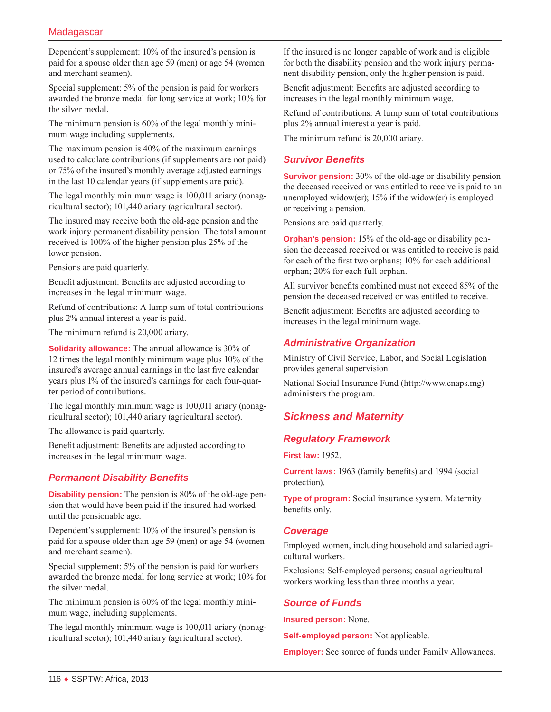### **Madagascar**

Dependent's supplement: 10% of the insured's pension is paid for a spouse older than age 59 (men) or age 54 (women and merchant seamen).

Special supplement: 5% of the pension is paid for workers awarded the bronze medal for long service at work; 10% for the silver medal.

The minimum pension is 60% of the legal monthly minimum wage including supplements.

The maximum pension is 40% of the maximum earnings used to calculate contributions (if supplements are not paid) or 75% of the insured's monthly average adjusted earnings in the last 10 calendar years (if supplements are paid).

The legal monthly minimum wage is 100,011 ariary (nonagricultural sector); 101,440 ariary (agricultural sector).

The insured may receive both the old-age pension and the work injury permanent disability pension. The total amount received is 100% of the higher pension plus 25% of the lower pension.

Pensions are paid quarterly.

Benefit adjustment: Benefits are adjusted according to increases in the legal minimum wage.

Refund of contributions: A lump sum of total contributions plus 2% annual interest a year is paid.

The minimum refund is 20,000 ariary.

**Solidarity allowance:** The annual allowance is 30% of 12 times the legal monthly minimum wage plus 10% of the insured's average annual earnings in the last five calendar years plus 1% of the insured's earnings for each four-quarter period of contributions.

The legal monthly minimum wage is 100,011 ariary (nonagricultural sector); 101,440 ariary (agricultural sector).

The allowance is paid quarterly.

Benefit adjustment: Benefits are adjusted according to increases in the legal minimum wage.

### *Permanent Disability Benefits*

**Disability pension:** The pension is 80% of the old-age pension that would have been paid if the insured had worked until the pensionable age.

Dependent's supplement: 10% of the insured's pension is paid for a spouse older than age 59 (men) or age 54 (women and merchant seamen).

Special supplement: 5% of the pension is paid for workers awarded the bronze medal for long service at work; 10% for the silver medal.

The minimum pension is 60% of the legal monthly minimum wage, including supplements.

The legal monthly minimum wage is 100,011 ariary (nonagricultural sector); 101,440 ariary (agricultural sector).

If the insured is no longer capable of work and is eligible for both the disability pension and the work injury permanent disability pension, only the higher pension is paid.

Benefit adjustment: Benefits are adjusted according to increases in the legal monthly minimum wage.

Refund of contributions: A lump sum of total contributions plus 2% annual interest a year is paid.

The minimum refund is 20,000 ariary.

### *Survivor Benefits*

**Survivor pension:** 30% of the old-age or disability pension the deceased received or was entitled to receive is paid to an unemployed widow(er); 15% if the widow(er) is employed or receiving a pension.

Pensions are paid quarterly.

**Orphan's pension:** 15% of the old-age or disability pension the deceased received or was entitled to receive is paid for each of the first two orphans; 10% for each additional orphan; 20% for each full orphan.

All survivor benefits combined must not exceed 85% of the pension the deceased received or was entitled to receive.

Benefit adjustment: Benefits are adjusted according to increases in the legal minimum wage.

### *Administrative Organization*

Ministry of Civil Service, Labor, and Social Legislation provides general supervision.

National Social Insurance Fund ([http://www.cnaps.mg\)](http://www.cnaps.mg) administers the program.

# *Sickness and Maternity*

### *Regulatory Framework*

**First law:** 1952.

**Current laws:** 1963 (family benefits) and 1994 (social protection).

**Type of program:** Social insurance system. Maternity benefits only.

#### *Coverage*

Employed women, including household and salaried agricultural workers.

Exclusions: Self-employed persons; casual agricultural workers working less than three months a year.

#### *Source of Funds*

**Insured person:** None.

**Self-employed person:** Not applicable.

**Employer:** See source of funds under Family Allowances.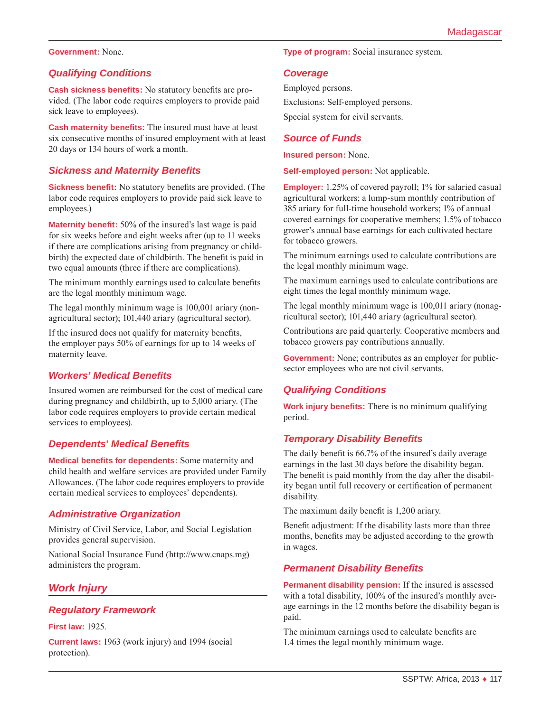#### **Government:** None.

#### *Qualifying Conditions*

**Cash sickness benefits:** No statutory benefits are provided. (The labor code requires employers to provide paid sick leave to employees).

**Cash maternity benefits:** The insured must have at least six consecutive months of insured employment with at least 20 days or 134 hours of work a month.

#### *Sickness and Maternity Benefits*

**Sickness benefit:** No statutory benefits are provided. (The labor code requires employers to provide paid sick leave to employees.)

**Maternity benefit:** 50% of the insured's last wage is paid for six weeks before and eight weeks after (up to 11 weeks if there are complications arising from pregnancy or childbirth) the expected date of childbirth. The benefit is paid in two equal amounts (three if there are complications).

The minimum monthly earnings used to calculate benefits are the legal monthly minimum wage.

The legal monthly minimum wage is 100,001 ariary (nonagricultural sector); 101,440 ariary (agricultural sector).

If the insured does not qualify for maternity benefits, the employer pays 50% of earnings for up to 14 weeks of maternity leave.

### *Workers' Medical Benefits*

Insured women are reimbursed for the cost of medical care during pregnancy and childbirth, up to 5,000 ariary. (The labor code requires employers to provide certain medical services to employees).

#### *Dependents' Medical Benefits*

**Medical benefits for dependents:** Some maternity and child health and welfare services are provided under Family Allowances. (The labor code requires employers to provide certain medical services to employees' dependents).

#### *Administrative Organization*

Ministry of Civil Service, Labor, and Social Legislation provides general supervision.

National Social Insurance Fund ([http://www.cnaps.mg\)](http://www.cnaps.mg) administers the program.

### *Work Injury*

#### *Regulatory Framework*

#### **First law:** 1925.

**Current laws:** 1963 (work injury) and 1994 (social protection).

**Type of program:** Social insurance system.

#### *Coverage*

Employed persons. Exclusions: Self-employed persons. Special system for civil servants.

#### *Source of Funds*

**Insured person:** None.

**Self-employed person:** Not applicable.

**Employer:** 1.25% of covered payroll; 1% for salaried casual agricultural workers; a lump-sum monthly contribution of 385 ariary for full-time household workers; 1% of annual covered earnings for cooperative members; 1.5% of tobacco grower's annual base earnings for each cultivated hectare for tobacco growers.

The minimum earnings used to calculate contributions are the legal monthly minimum wage.

The maximum earnings used to calculate contributions are eight times the legal monthly minimum wage.

The legal monthly minimum wage is 100,011 ariary (nonagricultural sector); 101,440 ariary (agricultural sector).

Contributions are paid quarterly. Cooperative members and tobacco growers pay contributions annually.

**Government:** None; contributes as an employer for publicsector employees who are not civil servants.

#### *Qualifying Conditions*

**Work injury benefits:** There is no minimum qualifying period.

#### *Temporary Disability Benefits*

The daily benefit is 66.7% of the insured's daily average earnings in the last 30 days before the disability began. The benefit is paid monthly from the day after the disability began until full recovery or certification of permanent disability.

The maximum daily benefit is 1,200 ariary.

Benefit adjustment: If the disability lasts more than three months, benefits may be adjusted according to the growth in wages.

#### *Permanent Disability Benefits*

**Permanent disability pension:** If the insured is assessed with a total disability,  $100\%$  of the insured's monthly average earnings in the 12 months before the disability began is paid.

The minimum earnings used to calculate benefits are 1.4 times the legal monthly minimum wage.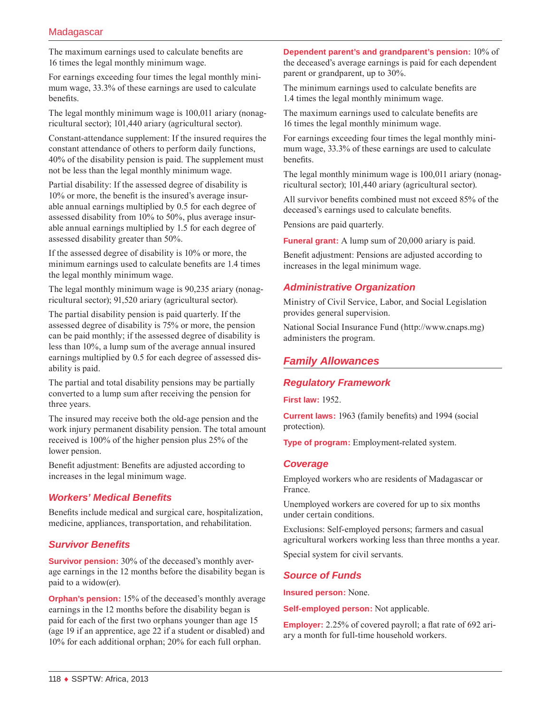The maximum earnings used to calculate benefits are 16 times the legal monthly minimum wage.

For earnings exceeding four times the legal monthly minimum wage, 33.3% of these earnings are used to calculate benefits.

The legal monthly minimum wage is 100,011 ariary (nonagricultural sector); 101,440 ariary (agricultural sector).

Constant-attendance supplement: If the insured requires the constant attendance of others to perform daily functions, 40% of the disability pension is paid. The supplement must not be less than the legal monthly minimum wage.

Partial disability: If the assessed degree of disability is 10% or more, the benefit is the insured's average insurable annual earnings multiplied by 0.5 for each degree of assessed disability from 10% to 50%, plus average insurable annual earnings multiplied by 1.5 for each degree of assessed disability greater than 50%.

If the assessed degree of disability is 10% or more, the minimum earnings used to calculate benefits are 1.4 times the legal monthly minimum wage.

The legal monthly minimum wage is 90,235 ariary (nonagricultural sector); 91,520 ariary (agricultural sector).

The partial disability pension is paid quarterly. If the assessed degree of disability is 75% or more, the pension can be paid monthly; if the assessed degree of disability is less than 10%, a lump sum of the average annual insured earnings multiplied by 0.5 for each degree of assessed disability is paid.

The partial and total disability pensions may be partially converted to a lump sum after receiving the pension for three years.

The insured may receive both the old-age pension and the work injury permanent disability pension. The total amount received is 100% of the higher pension plus 25% of the lower pension.

Benefit adjustment: Benefits are adjusted according to increases in the legal minimum wage.

### *Workers' Medical Benefits*

Benefits include medical and surgical care, hospitalization, medicine, appliances, transportation, and rehabilitation.

### *Survivor Benefits*

**Survivor pension:** 30% of the deceased's monthly average earnings in the 12 months before the disability began is paid to a widow(er).

**Orphan's pension:** 15% of the deceased's monthly average earnings in the 12 months before the disability began is paid for each of the first two orphans younger than age 15 (age 19 if an apprentice, age 22 if a student or disabled) and 10% for each additional orphan; 20% for each full orphan.

**Dependent parent's and grandparent's pension:** 10% of the deceased's average earnings is paid for each dependent parent or grandparent, up to 30%.

The minimum earnings used to calculate benefits are 1.4 times the legal monthly minimum wage.

The maximum earnings used to calculate benefits are 16 times the legal monthly minimum wage.

For earnings exceeding four times the legal monthly minimum wage, 33.3% of these earnings are used to calculate benefits.

The legal monthly minimum wage is 100,011 ariary (nonagricultural sector); 101,440 ariary (agricultural sector).

All survivor benefits combined must not exceed 85% of the deceased's earnings used to calculate benefits.

Pensions are paid quarterly.

**Funeral grant:** A lump sum of 20,000 ariary is paid.

Benefit adjustment: Pensions are adjusted according to increases in the legal minimum wage.

### *Administrative Organization*

Ministry of Civil Service, Labor, and Social Legislation provides general supervision.

National Social Insurance Fund ([http://www.cnaps.mg\)](http://www.cnaps.mg) administers the program.

# *Family Allowances*

### *Regulatory Framework*

**First law:** 1952.

**Current laws:** 1963 (family benefits) and 1994 (social protection).

**Type of program:** Employment-related system.

#### *Coverage*

Employed workers who are residents of Madagascar or France.

Unemployed workers are covered for up to six months under certain conditions.

Exclusions: Self-employed persons; farmers and casual agricultural workers working less than three months a year.

Special system for civil servants.

### *Source of Funds*

**Insured person:** None.

**Self-employed person:** Not applicable.

**Employer:** 2.25% of covered payroll; a flat rate of 692 ariary a month for full-time household workers.